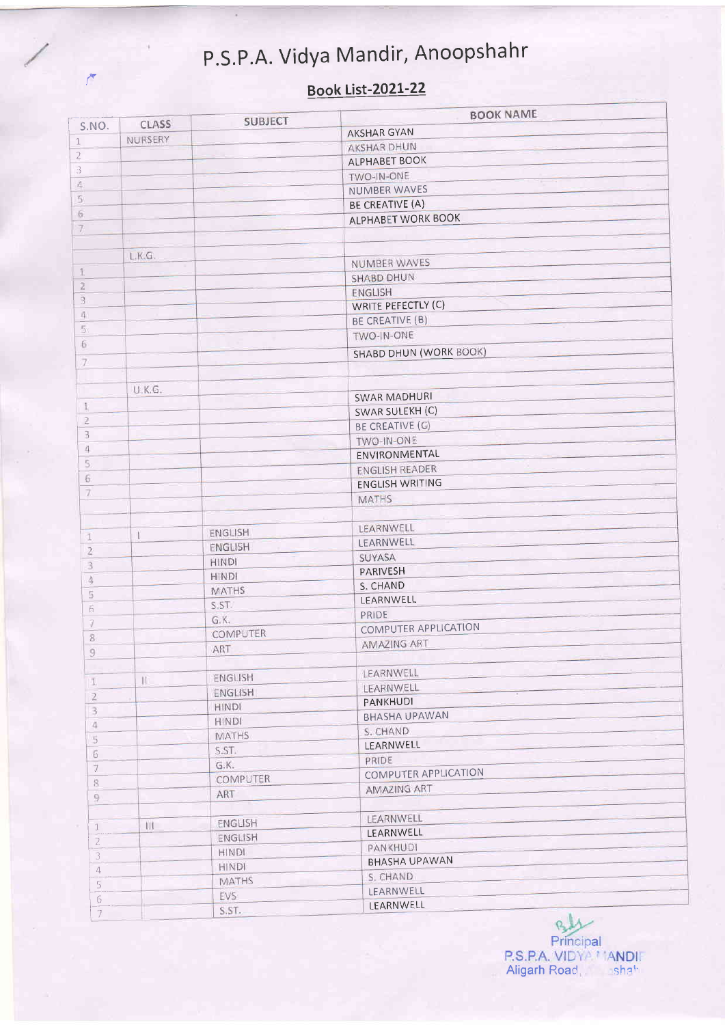## P.S.P.A. Vidya Mandir, Anoopshahr

 $\mathcal{F}$ 

## Book List-2021-22

|                |         | <b>SUBJECT</b>  | <b>BOOK NAME</b>              |
|----------------|---------|-----------------|-------------------------------|
| S.NO.          | CLASS   |                 | <b>AKSHAR GYAN</b>            |
| $\mathbf 1$    | NURSERY |                 | <b>AKSHAR DHUN</b>            |
| $\overline{2}$ |         |                 | ALPHABET BOOK                 |
| 3              |         |                 | TWO-IN-ONE                    |
| 4              |         |                 | NUMBER WAVES                  |
| $\overline{5}$ |         |                 | <b>BE CREATIVE (A)</b>        |
| 6.             |         |                 | <b>ALPHABET WORK BOOK</b>     |
| $7\phantom{.}$ |         |                 |                               |
|                |         |                 |                               |
|                | LKG.    |                 | NUMBER WAVES                  |
| 1              |         |                 | <b>SHABD DHUN</b>             |
| $\overline{2}$ |         |                 | ENGLISH                       |
| $\bar{3}$      |         |                 | WRITE PEFECTLY (C)            |
| 4              |         |                 | BE CREATIVE (B)               |
| $\overline{5}$ |         |                 | TWO-IN-ONE                    |
| 6              |         |                 |                               |
| $\overline{7}$ |         |                 | <b>SHABD DHUN (WORK BOOK)</b> |
|                |         |                 |                               |
|                | U.K.G.  |                 |                               |
| $\mathbbm{1}$  |         |                 | <b>SWAR MADHURI</b>           |
| $\overline{2}$ |         |                 | SWAR SULEKH (C)               |
| $\overline{3}$ |         |                 | <b>BE CREATIVE (G)</b>        |
| 4              |         |                 | TWO-IN-ONE                    |
| 5,             |         |                 | ENVIRONMENTAL                 |
| $\sqrt{6}$     |         |                 | <b>ENGLISH READER</b>         |
| $\overline{7}$ |         |                 | <b>ENGLISH WRITING</b>        |
|                |         |                 | <b>MATHS</b>                  |
|                |         |                 |                               |
| $\mathbf{1}$   | ı       | ENGLISH         | LEARNWELL                     |
| $\bar{z}$      |         | <b>ENGLISH</b>  | LEARNWELL                     |
| 3              |         | <b>HINDI</b>    | SUYASA                        |
| 4              |         | <b>HINDI</b>    | PARIVESH                      |
| 5              |         | <b>MATHS</b>    | S. CHAND                      |
| 6              |         | S.ST.           | LEARNWELL                     |
| 3              |         | G.K.            | PRIDE                         |
| 8              |         | <b>COMPUTER</b> | COMPUTER APPLICATION          |
| $\mathfrak g$  |         | ART             | <b>AMAZING ART</b>            |
|                |         |                 |                               |
| $\mathbb{I}$   |         | ENGLISH         | LEARNWELL                     |
| $\mathfrak{2}$ |         | ENGLISH         | LEARNWELL                     |
| 3              |         | <b>HINDI</b>    | PANKHUDI                      |
| 4              |         | <b>HINDI</b>    | <b>BHASHA UPAWAN</b>          |
| 5              |         | <b>MATHS</b>    | S. CHAND                      |
| 6              |         | S.ST.           | LEARNWELL                     |
| 7              |         | G.K.            | PRIDE                         |
| 8              |         | <b>COMPUTER</b> | <b>COMPUTER APPLICATION</b>   |
| 9              |         | ART             | <b>AMAZING ART</b>            |
|                |         |                 |                               |
|                | 111     | ENGLISH         | <b>LEARNWELL</b>              |
| $\mathbf{1}$   |         | ENGLISH         | LEARNWELL                     |
| $\overline{c}$ |         | <b>HINDI</b>    | PANKHUDI                      |
| 3              |         | <b>HINDI</b>    | <b>BHASHA UPAWAN</b>          |
| 4              |         | <b>MATHS</b>    | S. CHAND                      |
| $\overline{5}$ |         | EVS:            | LEARNWELL                     |
| 6              |         | S.ST.           | LEARNWELL                     |
| 7              |         |                 |                               |

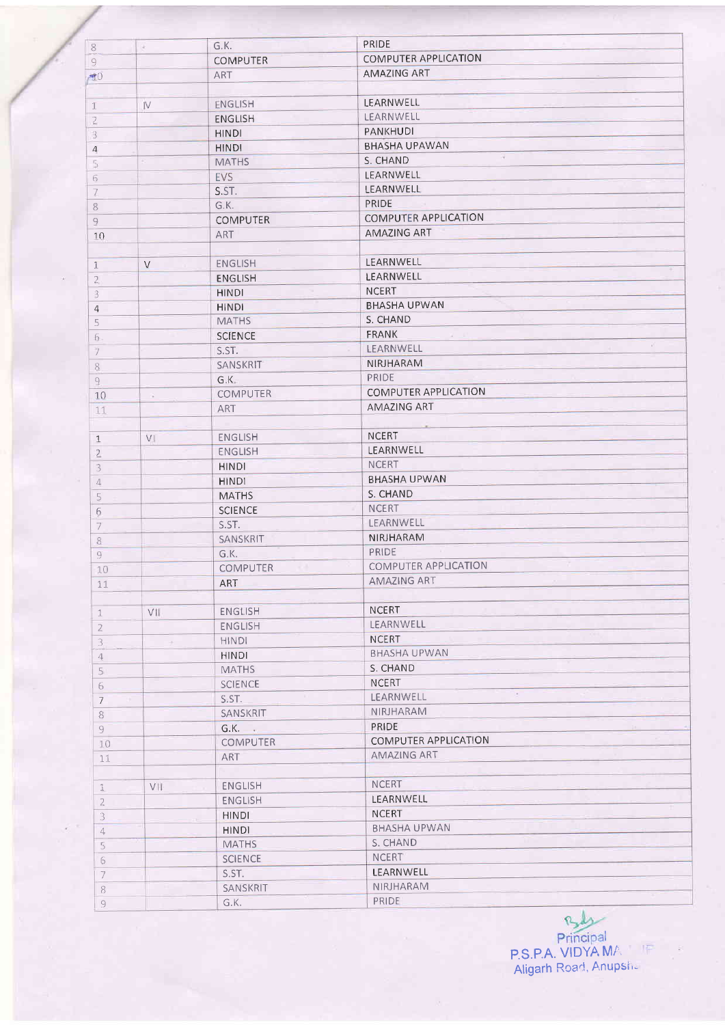| $\,$ 8                    | R.     | G.K.            | <b>PRIDE</b>                        |
|---------------------------|--------|-----------------|-------------------------------------|
| $\overline{9}$            |        | <b>COMPUTER</b> | <b>COMPUTER APPLICATION</b>         |
| 70                        |        | <b>ART</b>      | <b>AMAZING ART</b>                  |
|                           |        |                 |                                     |
|                           |        | ENGLISH         | LEARNWELL                           |
| $\mathbf{I}$              | IV.    | <b>ENGLISH</b>  | LEARNWELL                           |
| $\overline{2}$            |        |                 | PANKHUDI                            |
| $\overline{\overline{3}}$ |        | <b>HINDI</b>    | <b>BHASHA UPAWAN</b>                |
| $\sqrt{4}$                |        | <b>HINDI</b>    | n.                                  |
| 5                         |        | <b>MATHS</b>    | S. CHAND                            |
| 6                         |        | EVS             | LEARNWELL                           |
| 7                         |        | S.ST.           | LEARNWELL                           |
| 8                         |        | G.K.            | PRIDE                               |
| $\overline{9}$            |        | <b>COMPUTER</b> | <b>COMPUTER APPLICATION</b>         |
| 10                        |        | <b>ART</b>      | <b>AMAZING ART</b>                  |
|                           |        |                 |                                     |
| $\mathbf{1}$              | $\vee$ | <b>ENGLISH</b>  | LEARNWELL                           |
| $\overline{2}$            |        | <b>ENGLISH</b>  | LEARNWELL                           |
| 3                         |        | <b>HINDI</b>    | <b>NCERT</b>                        |
| $\overline{4}$            |        | <b>HINDI</b>    | <b>BHASHA UPWAN</b>                 |
| 5                         |        | <b>MATHS</b>    | S. CHAND                            |
| $6 \,$                    |        | <b>SCIENCE</b>  | <b>FRANK</b><br>$\mathcal{A}$       |
| $\overline{7}$            |        | S.ST.           | $\lambda$ .<br><b>LEARNWELL</b>     |
| 8                         |        | SANSKRIT        | NIRJHARAM                           |
| 9                         |        | G.K.            | PRIDE                               |
|                           |        | <b>COMPUTER</b> | COMPUTER APPLICATION                |
| 10                        | n.     | <b>ART</b>      | AMAZING ART                         |
| 11                        |        |                 |                                     |
|                           |        | <b>ENGLISH</b>  | <b>NCERT</b>                        |
| $\mathbf{1}$              | VI     |                 | LEARNWELL                           |
| $\overline{2}$            |        | <b>ENGLISH</b>  | <b>NCERT</b>                        |
| $\mathfrak{Z}$            |        | <b>HINDI</b>    |                                     |
| $\mathcal{L}$             |        | <b>HINDI</b>    | <b>BHASHA UPWAN</b>                 |
| 5                         |        | <b>MATHS</b>    | S. CHAND                            |
| 6                         |        | <b>SCIENCE</b>  | <b>NCERT</b>                        |
| $\overline{\mathcal{I}}$  |        | S.ST.           | LEARNWELL                           |
| $\,$ 8 $\,$               |        | SANSKRIT        | NIRJHARAM                           |
| $\overline{9}$            |        | G.K.            | PRIDE                               |
| 10                        |        | <b>COMPUTER</b> | COMPUTER APPLICATION                |
| 11                        |        | <b>ART</b>      | <b>AMAZING ART</b>                  |
|                           |        |                 |                                     |
| $\mathbf{1}$              | VII-   | ENGLISH         | <b>NCERT</b>                        |
| $\overline{2}$            |        | ENGLISH         | LEARNWELL                           |
| $\overline{3}$            | $\sim$ | <b>HINDI</b>    | <b>NCERT</b>                        |
| $\overline{4}$            |        | <b>HINDI</b>    | <b>BHASHA UPWAN</b>                 |
| 5                         |        | <b>MATHS</b>    | S. CHAND                            |
|                           |        | <b>SCIENCE</b>  | <b>NCERT</b>                        |
| 6                         |        | S.ST.           | $\langle \Phi \rangle$<br>LEARNWELL |
| $\overline{7}$            |        | SANSKRIT        | NIRJHARAM                           |
| 8                         |        |                 | PRIDE                               |
| $\overline{9}$            |        | G.K.            | COMPUTER APPLICATION                |
| 10                        |        | COMPUTER        |                                     |
| 11                        |        | ART             | AMAZING ART                         |
|                           |        |                 |                                     |
| 1                         | VII    | ENGLISH         | <b>NCERT</b>                        |
| $\mathbf{2}$              |        | <b>ENGLISH</b>  | LEARNWELL                           |
| 3                         |        | <b>HINDI</b>    | <b>NCERT</b>                        |
| $\overline{4}$            |        | <b>HINDI</b>    | <b>BHASHA UPWAN</b>                 |
| 5                         |        | <b>MATHS</b>    | S. CHAND                            |
| 6                         |        | <b>SCIENCE</b>  | <b>NCERT</b>                        |
| 7                         |        | S.ST.           | LEARNWELL                           |
| 8                         |        | SANSKRIT        | NIRJHARAM                           |
| $\overline{q}$            |        | G.K.            | <b>PRIDE</b>                        |

Principal<br>P.S.P.A. VIDYA MA